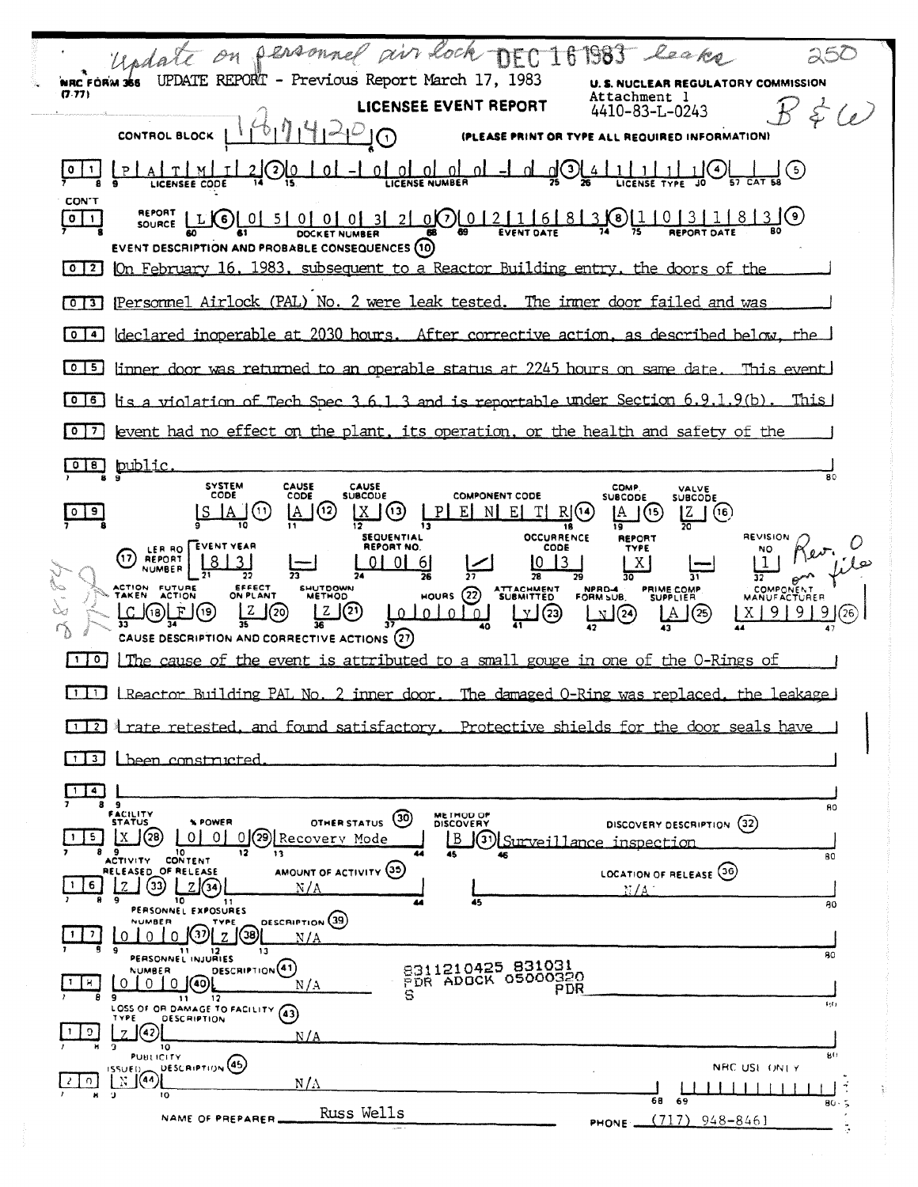| Undate on personnel<br>air Lock DEC 161983 leaks                                                                                                                                                                                                                                                                                                                                                                                                        |                                                         |
|---------------------------------------------------------------------------------------------------------------------------------------------------------------------------------------------------------------------------------------------------------------------------------------------------------------------------------------------------------------------------------------------------------------------------------------------------------|---------------------------------------------------------|
| UPDATE REPORT - Previous Report March 17, 1983<br>NRC FORM 366<br>(7.77)<br>:achment l                                                                                                                                                                                                                                                                                                                                                                  | NUCLEAR REGULATORY COMMISSION                           |
| <b>LICENSEE EVENT REPORT</b><br>4410-83-L-0243                                                                                                                                                                                                                                                                                                                                                                                                          |                                                         |
| <b>CONTROL BLOCK</b><br>L REQUIRED INFORMATION)<br>$\left( 1\right)$<br><b>IPLEASE PRINT OR TYPE AL</b>                                                                                                                                                                                                                                                                                                                                                 |                                                         |
| οI<br>ΩI<br>3<br>-O.<br>O.                                                                                                                                                                                                                                                                                                                                                                                                                              | $\mathfrak{s}$                                          |
| <b>CON'T</b><br><b>REPORT</b><br>0(7) 0 1211<br>0 0 3 2 <br>16<br>8<br>$\circ$<br>0 I<br>-51<br>.8)<br>L(K6)<br>01<br>$\mathbf{1}$<br>SOURCE<br><b>EVENT DATE</b><br>REPORT DATE<br><b>DOCKET NUMBER</b><br><b>EVENT DESCRIPTION AND PROBABLE CONSEQUENCES (10)</b>                                                                                                                                                                                     |                                                         |
| On February 16, 1983, subsequent to a Reactor Building entry, the doors of the<br> 2 <br>$\bullet$                                                                                                                                                                                                                                                                                                                                                      |                                                         |
| Personnel Airlock (PAL) No. 2 were leak tested.<br>The inmer door failed and was<br>ſО.<br>'3 I                                                                                                                                                                                                                                                                                                                                                         |                                                         |
| declared inoperable at 2030 hours. After corrective action, as described below, the<br>$\bullet$<br>$\overline{4}$                                                                                                                                                                                                                                                                                                                                      |                                                         |
| linner door was returned to an operable status at 2245 hours on same date.<br><b>O</b><br>I 5.                                                                                                                                                                                                                                                                                                                                                          | This event.                                             |
| tis a violation of Tech Spec 3.6.1.3 and is reportable under Section 6.9.1.9(b).<br>$\bullet$<br>16                                                                                                                                                                                                                                                                                                                                                     | This                                                    |
| event had no effect on the plant, its operation, or the health and safety of the<br>$\circ$<br>7                                                                                                                                                                                                                                                                                                                                                        |                                                         |
| public<br>o<br>$^{\circ}$<br><b>SYSTEM</b><br>CAUSE<br>CAUSE<br><b>COMP</b>                                                                                                                                                                                                                                                                                                                                                                             | 80                                                      |
| VALVE<br>CODE<br>CODE<br><b>SUBCODE</b><br><b>COMPONENT CODE</b><br><b>SUBCODE</b><br><b>SUBCODE</b><br>(12)<br>(11.<br>Χ<br>P<br>Ε<br>Ε<br>Rŀ<br>9<br>ĮA<br>(13)<br>N.<br>(14<br>IA.<br>(15<br>ĮΖ<br>18<br><b>OCCURRENCE</b><br><b>SEQUENTIAL</b><br><b>REPORT</b>                                                                                                                                                                                     | (16)<br>REVISION                                        |
| EVENT YEAR<br>REPORT NO.<br>CODE<br>TYPE<br>LER RO<br>17<br><b>REPORT</b><br>3<br>$6 \mid$<br>X<br>フィ<br>26<br>"<br>ACTION FUTURE<br>EFFECT<br>ON PLANT<br>SHUTDOWN<br>ATTACHMENT<br>SUBMITTED<br>PRIME COMP<br>SUPPLIER<br>NPRO-4<br>(22)<br><b>TAKEN</b><br>ACTION<br><b>METHOD</b><br><b>HOURS</b><br>$^{(21)}$<br>(19<br>$\Omega$<br>(23)<br>(25<br>18<br>$\Omega$<br>(24)<br>$\Omega$<br>D.<br>33<br>CAUSE DESCRIPTION AND CORRECTIVE ACTIONS (27) | NO<br>COMPONENT<br><b>MANUFACTURER</b><br>9<br>9.<br>26 |
| The cause of the event is attributed to a small gouge in one of the O-Rings of<br>$\bullet$                                                                                                                                                                                                                                                                                                                                                             |                                                         |
| LReactor Building PAL No. 2 inner door.<br><u>The damaged O-Ring was replaced, the leakage </u><br>$\blacksquare$                                                                                                                                                                                                                                                                                                                                       |                                                         |
| rate retested, and found satisfactory. Protective shields for the door seals have<br>$\overline{2}$                                                                                                                                                                                                                                                                                                                                                     |                                                         |
| L been constructed                                                                                                                                                                                                                                                                                                                                                                                                                                      |                                                         |
| $\ddot{ }$<br>$\mathbf{9}$<br>FACILITY<br><b>METHOD OF</b><br>(30)<br><b>STATUS</b><br><b>X POWER</b><br>OTHER STATUS<br><b>DISCOVERY</b><br>DISCOVERY DESCRIPTION<br>79)<br>5.<br>0.<br>01<br>Recovery Mode<br>B<br>(31)<br>Surveillance inspection                                                                                                                                                                                                    | 80<br>(32)                                              |
| 8<br>9<br>10<br>12<br>13<br>44<br>45<br>46<br>ACTIVITY CONTENT<br>AMOUNT OF ACTIVITY (35)<br>RELEASED OF RELEASE<br>LOCATION OF RELEASE (36)<br>33)<br>6<br>7111<br>N/A<br>37 / A                                                                                                                                                                                                                                                                       | 80                                                      |
| ۰<br>10<br>45<br>11<br>PERSONNEL EXPOSURES<br><b>DESCRIPTION</b> (39)<br><b>NUMBER</b><br>TYPE                                                                                                                                                                                                                                                                                                                                                          | 80                                                      |
| 38)<br>7<br>37<br>0<br>N / A<br>9<br>13.<br>11                                                                                                                                                                                                                                                                                                                                                                                                          | 80                                                      |
| PERSONNEL INJURIES<br>8311210425 831031<br>DESCRIPTION <sup>(41)</sup><br><b>NUMBER</b><br>PDR ADOCK 05000320<br>Я.<br>010(40)<br>O<br>N/A<br>PDR<br>s<br>9<br>$\mathbf{11}$<br>$12^{\circ}$                                                                                                                                                                                                                                                            | 1/11                                                    |
| LOSS OF OR DAMAGE TO FACILITY<br>(43)<br>TYPE<br><b>DESCRIPTION</b><br>9<br>N / A<br>10<br>PUBLICITY                                                                                                                                                                                                                                                                                                                                                    | 80                                                      |
| DESCRIPTION <sup>(45)</sup><br>$155 \cup E1$<br>$\mathbb{N}$ $(44)$<br>O.<br>$N/\Lambda$                                                                                                                                                                                                                                                                                                                                                                | NRC USE ONLY                                            |
| 9.<br>$\blacksquare$<br>10<br>68<br>69<br>Russ Wells<br>NAME OF PREPARER.<br>(717)<br>PHONE _                                                                                                                                                                                                                                                                                                                                                           | 80.5<br>$948 - 8461$                                    |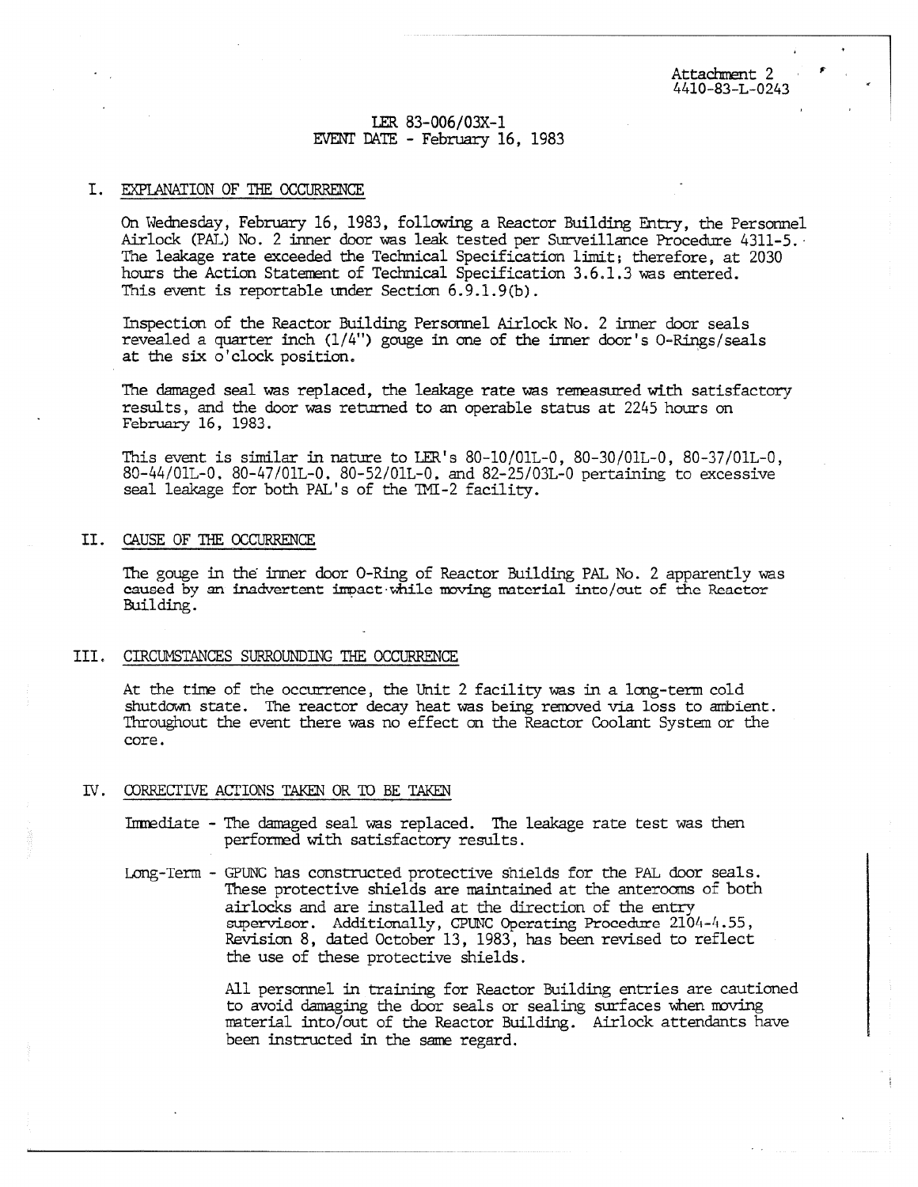# LER 83-006/03X-I EVENT DATE - February 16, 1983

### I. EXPLANATION OF THE OCCURRENCE

On Wednesday, February 16, 1983, following a Reactor Building Entry, the Personnel Airlock (PAL) No. 2 inner door was leak tested per Surveillance Procedure 4311-5. The leakage rate exceeded the Technical Specification limit; therefore, at 2030 hours the Action Statement of Technical Specification 3.6.1.3 was entered. This event is reportable under Section 6.9.1.9(b).

Inspection of the Reactor Building Personnel Airlock No. 2 inner door seals revealed a quarter inch (1/4") gouge in one of the inner door's 0-Rings/seals at the six o'clock position.

The damaged seal was replaced, the leakage rate was reneasured with satisfactory results, and the door was returned to an operable status at 2245 hours on February 16, 1983.

This event is similar in nature to LER's 80-10/01L-0, 80-30/01L-0, 80-37/01L-0, 80-44/01L-0, 80-47/01L-0, 80-52/01L-0, and 82-25/03L-0 pertaining to excessive seal leakage for both PAL's of the TMI-2 facility.

### II. CAUSE OF THE OCCURRENCE

The gouge in the inner door 0-Ring of Reactor Building PAL No. 2 apparently was caused by an inadvertent impact while moving material into/out of the Reactor Building.

#### III. CIRCUMSTANCES SURROUNDING THE OCCURRENCE

At the time of the occurrence, the Unit 2 facility was in a long-term cold shutdown state. The reactor decay heat was being removed via loss to ambient. Throughout the event there was no effect on the Reactor Coolant System or the core.

### IV. CORRECTIVE ACTIONS TAKEN OR TO BE TAKEN

- Immediate The damaged seal was replaced. The leakage rate test was then performed with satisfactory results.
- Long-Term GPUNC has constructed protective shields for the PAL door seals. These protective shields are maintained at the anterooms of both airlocks and are installed at the direction of the entry supervisor. Additionally, CPUNC Operating Procedure 2104-4.55, Revision 8, dated October 13, 1983, has been revised to reflect the use of these protective shields.

All personnel in training for Reactor Building entries are cautioned to avoid damaging the door seals or sealing surfaces when roving material into/out of the Reactor Building. Airlock attendants have been instructed in the same regard.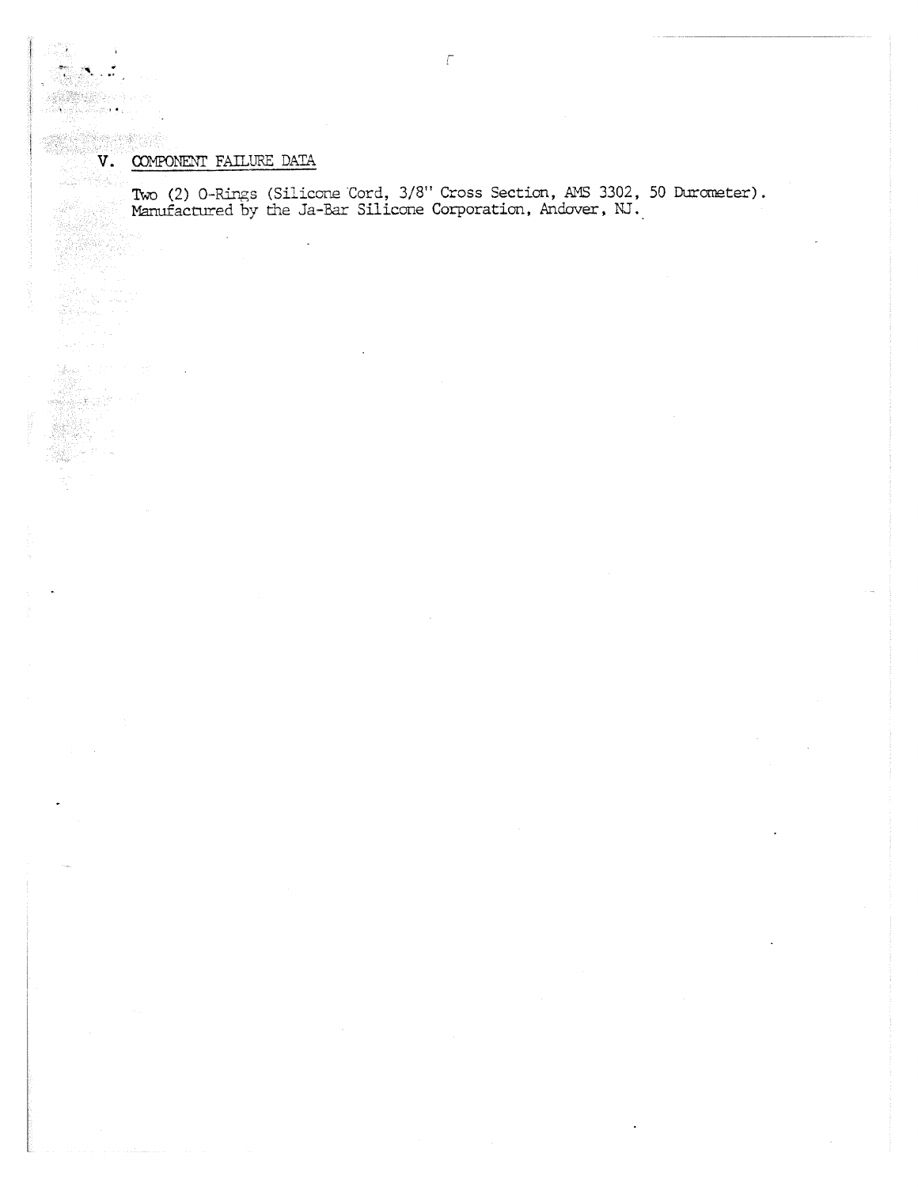$\rightarrow$ 

(高速)

議論させていま

والجدادين

# $\begin{minipage}{0.5\linewidth} \vspace{0.5cm} \begin{tabular}{cc} \multicolumn{2}{c}{\textbf{0.5\linewidth}} \vspace{0.5cm} \vspace{0.5cm} \vspace{0.5cm} \textbf{V.} & \textbf{COMPORT FAILURE DATA} \end{tabular} \end{minipage} \end{minipage}$  $\begin{picture}(100,10) \put(0,0){\vector(1,0){30}} \put(10,0){\vector(1,0){30}} \put(10,0){\vector(1,0){30}} \put(10,0){\vector(1,0){30}} \put(10,0){\vector(1,0){30}} \put(10,0){\vector(1,0){30}} \put(10,0){\vector(1,0){30}} \put(10,0){\vector(1,0){30}} \put(10,0){\vector(1,0){30}} \put(10,0){\vector(1,0){30}} \put(10,0){\vector(1,0){30}} \put(10,0){\vector($

J.

Two (2) 0-Rings (Silicone Cord, 3/8" Cross Section, AMS 3302, 50 Durorneter). Manufactured by the Ja-Bar Silicone Corporation, Andover, NJ.,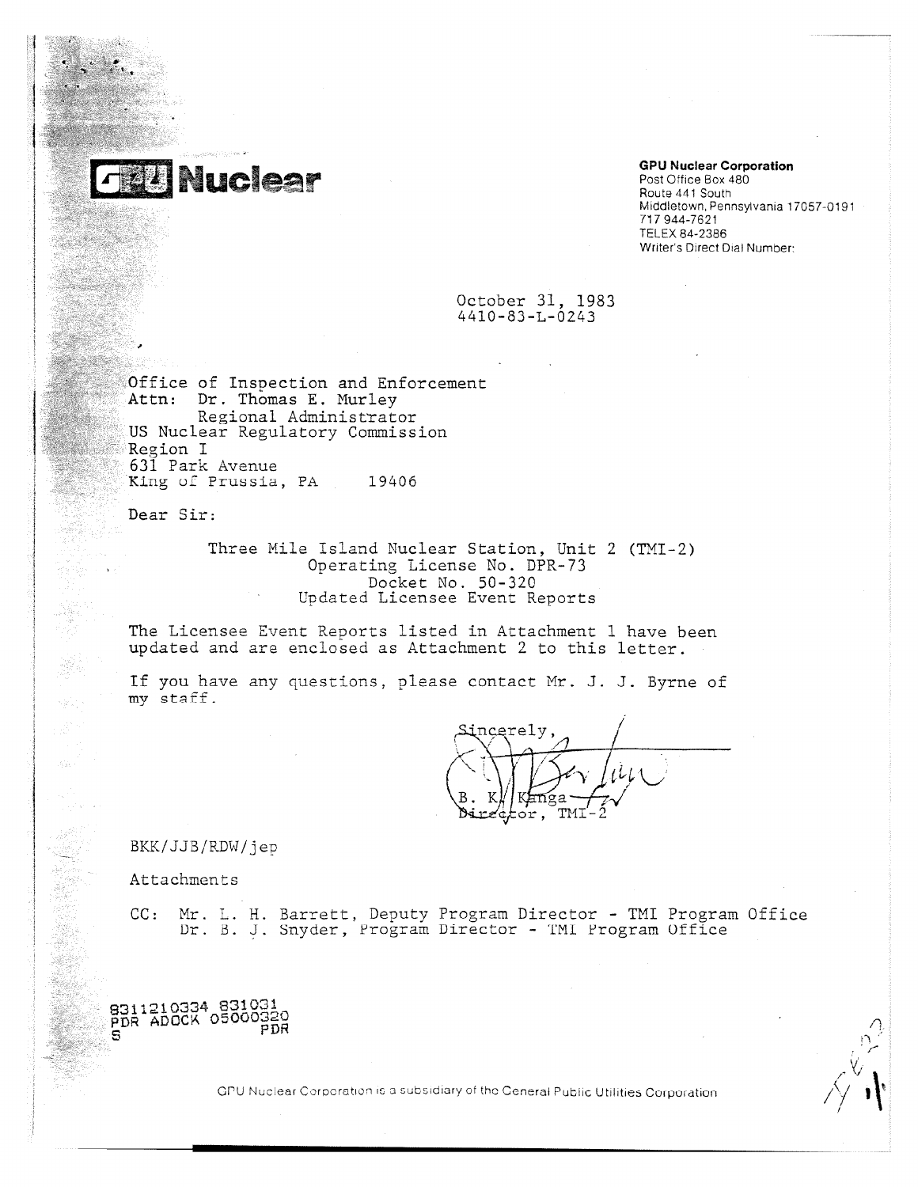

# **GPU Nuclear Corporation**

Post Office Box 480 Route 441 South Middletown, Pennsylvania 17057-0191 717 944-7621 TELEX 84-2386 Writer's Direct Dial Number:

October 31, 1983 4410-83-L-0243

Office of Inspection and Enforcement Attn: Dr. Thomas E. Murley Regional Administrator US Nuclear Regulatory Commission Region I 631 Park Avenue<br>King of Prussia, PA Fice of Inspection and Enfo<br>
Office of Inspection and Enfo<br>
Attn: Dr. Thomas E. Murley<br>
Regional Administrator<br>
US Nuclear Regulatory Commiss<br>
Region I<br>
631 Park Avenue<br>
King of Prussia, PA 19406<br>
Dear Sir:

Dear Sir:

Three Mile Island Nuclear Station, Unit 2 (TNI-2) Operating License No. DPR-73 Docket No. 50-320 Updated Licensee Event Reports

The Licensee Event Reports listed in Attachment 1 have been updated and are enclosed as Attachment 2 to this letter.

If you have any questions, please contact Mr. J. J. Byrne of my staff.

,ncerely, R K anga Ъi tor. TMI

BKK/JJB/RDW/jep

Attachments

8311210334 831031 PDR ADOCK 05000320<br>PDR

CC: Mr. L. H. Barrett, Deputy Program Director - TMI Program Office Dr. B. J. Snyder, Program Director - TMI Program Office

GPU Nuclear Corporation is a subsidiary of the General Public Utilities Corporation